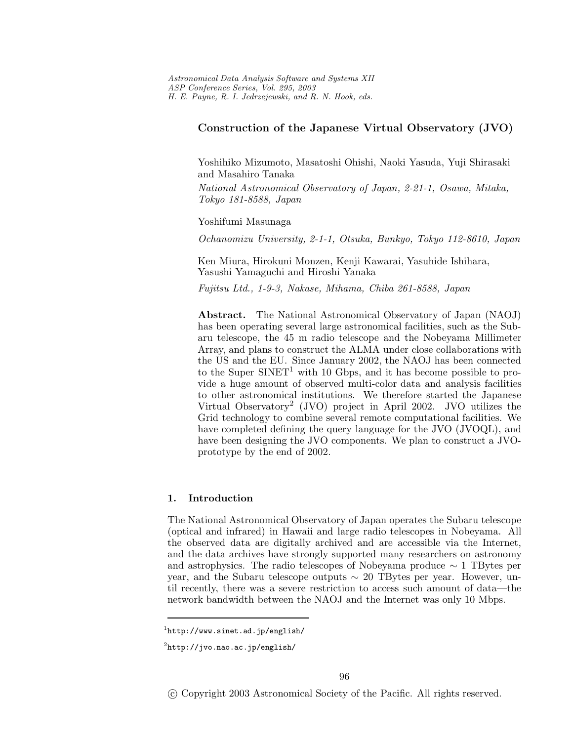# **Construction of the Japanese Virtual Observatory (JVO)**

Yoshihiko Mizumoto, Masatoshi Ohishi, Naoki Yasuda, Yuji Shirasaki and Masahiro Tanaka

*National Astronomical Observatory of Japan, 2-21-1, Osawa, Mitaka, Tokyo 181-8588, Japan*

Yoshifumi Masunaga

*Ochanomizu University, 2-1-1, Otsuka, Bunkyo, Tokyo 112-8610, Japan*

Ken Miura, Hirokuni Monzen, Kenji Kawarai, Yasuhide Ishihara, Yasushi Yamaguchi and Hiroshi Yanaka

*Fujitsu Ltd., 1-9-3, Nakase, Mihama, Chiba 261-8588, Japan*

**Abstract.** The National Astronomical Observatory of Japan (NAOJ) has been operating several large astronomical facilities, such as the Subaru telescope, the 45 m radio telescope and the Nobeyama Millimeter Array, and plans to construct the ALMA under close collaborations with the US and the EU. Since January 2002, the NAOJ has been connected to the Super SINET<sup>1</sup> with 10 Gbps, and it has become possible to provide a huge amount of observed multi-color data and analysis facilities to other astronomical institutions. We therefore started the Japanese Virtual Observatory<sup>2</sup> (JVO) project in April 2002. JVO utilizes the Grid technology to combine several remote computational facilities. We have completed defining the query language for the JVO (JVOQL), and have been designing the JVO components. We plan to construct a JVOprototype by the end of 2002.

### **1. Introduction**

The National Astronomical Observatory of Japan operates the Subaru telescope (optical and infrared) in Hawaii and large radio telescopes in Nobeyama. All the observed data are digitally archived and are accessible via the Internet, and the data archives have strongly supported many researchers on astronomy and astrophysics. The radio telescopes of Nobeyama produce  $\sim 1$  TBytes per year, and the Subaru telescope outputs  $\sim 20$  TBytes per year. However, until recently, there was a severe restriction to access such amount of data—the network bandwidth between the NAOJ and the Internet was only 10 Mbps.

-c Copyright 2003 Astronomical Society of the Pacific. All rights reserved.

 ${}^{1}$ http://www.sinet.ad.jp/english/

 $^{2}$ http://jvo.nao.ac.jp/english/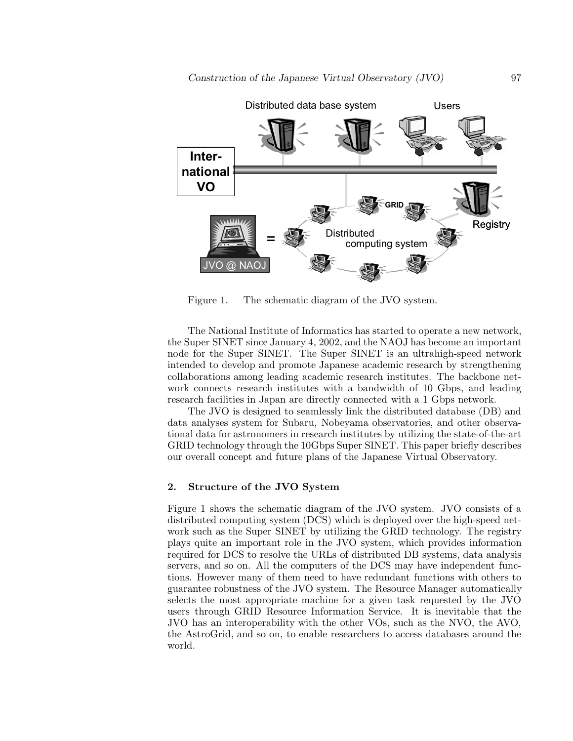

Figure 1. The schematic diagram of the JVO system.

The National Institute of Informatics has started to operate a new network, the Super SINET since January 4, 2002, and the NAOJ has become an important node for the Super SINET. The Super SINET is an ultrahigh-speed network intended to develop and promote Japanese academic research by strengthening collaborations among leading academic research institutes. The backbone network connects research institutes with a bandwidth of 10 Gbps, and leading research facilities in Japan are directly connected with a 1 Gbps network.

The JVO is designed to seamlessly link the distributed database (DB) and data analyses system for Subaru, Nobeyama observatories, and other observational data for astronomers in research institutes by utilizing the state-of-the-art GRID technology through the 10Gbps Super SINET. This paper briefly describes our overall concept and future plans of the Japanese Virtual Observatory.

### **2. Structure of the JVO System**

Figure 1 shows the schematic diagram of the JVO system. JVO consists of a distributed computing system (DCS) which is deployed over the high-speed network such as the Super SINET by utilizing the GRID technology. The registry plays quite an important role in the JVO system, which provides information required for DCS to resolve the URLs of distributed DB systems, data analysis servers, and so on. All the computers of the DCS may have independent functions. However many of them need to have redundant functions with others to guarantee robustness of the JVO system. The Resource Manager automatically selects the most appropriate machine for a given task requested by the JVO users through GRID Resource Information Service. It is inevitable that the JVO has an interoperability with the other VOs, such as the NVO, the AVO, the AstroGrid, and so on, to enable researchers to access databases around the world.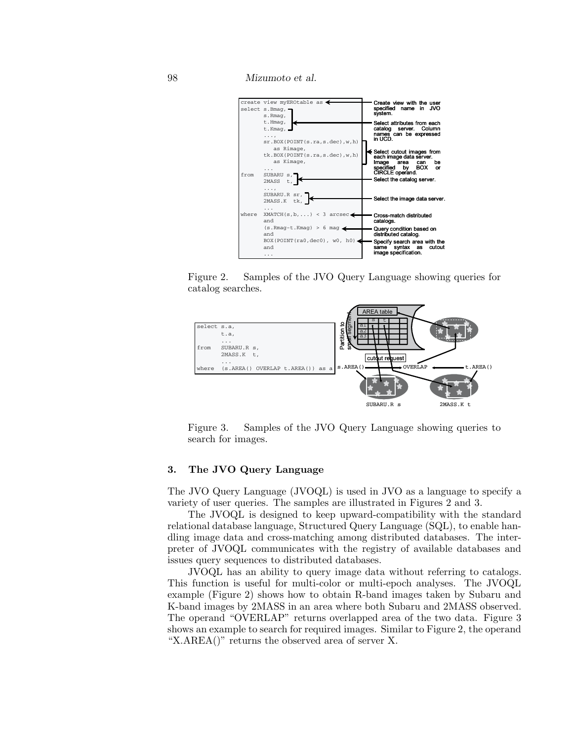Mizumoto et al.







Figure 3. Samples of the JVO Query Language showing queries to search for images.

#### 3. The JVO Query Language

The JVO Query Language (JVOQL) is used in JVO as a language to specify a variety of user queries. The samples are illustrated in Figures 2 and 3.

The JVOQL is designed to keep upward-compatibility with the standard relational database language, Structured Query Language (SQL), to enable handling image data and cross-matching among distributed databases. The interpreter of JVOQL communicates with the registry of available databases and issues query sequences to distributed databases.

JVOQL has an ability to query image data without referring to catalogs. This function is useful for multi-color or multi-epoch analyses. The JVOQL example (Figure 2) shows how to obtain R-band images taken by Subaru and K-band images by 2MASS in an area where both Subaru and 2MASS observed. The operand "OVERLAP" returns overlapped area of the two data. Figure 3 shows an example to search for required images. Similar to Figure 2, the operand "X.AREA()" returns the observed area of server X.